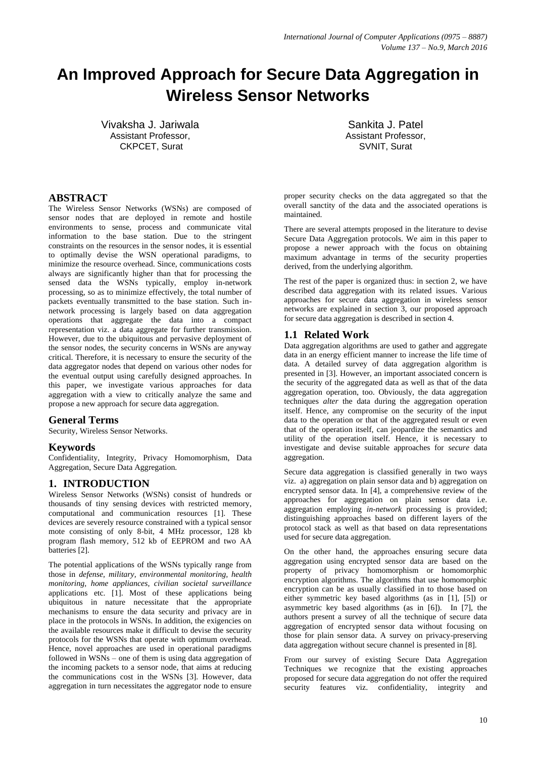# **An Improved Approach for Secure Data Aggregation in Wireless Sensor Networks**

Vivaksha J. Jariwala Assistant Professor, CKPCET, Surat

Sankita J. Patel Assistant Professor, SVNIT, Surat

## **ABSTRACT**

The Wireless Sensor Networks (WSNs) are composed of sensor nodes that are deployed in remote and hostile environments to sense, process and communicate vital information to the base station. Due to the stringent constraints on the resources in the sensor nodes, it is essential to optimally devise the WSN operational paradigms, to minimize the resource overhead. Since, communications costs always are significantly higher than that for processing the sensed data the WSNs typically, employ in-network processing, so as to minimize effectively, the total number of packets eventually transmitted to the base station. Such innetwork processing is largely based on data aggregation operations that aggregate the data into a compact representation viz. a data aggregate for further transmission. However, due to the ubiquitous and pervasive deployment of the sensor nodes, the security concerns in WSNs are anyway critical. Therefore, it is necessary to ensure the security of the data aggregator nodes that depend on various other nodes for the eventual output using carefully designed approaches. In this paper, we investigate various approaches for data aggregation with a view to critically analyze the same and propose a new approach for secure data aggregation.

## **General Terms**

Security, Wireless Sensor Networks.

## **Keywords**

Confidentiality, Integrity, Privacy Homomorphism, Data Aggregation, Secure Data Aggregation.

## **1. INTRODUCTION**

Wireless Sensor Networks (WSNs) consist of hundreds or thousands of tiny sensing devices with restricted memory, computational and communication resources [1]. These devices are severely resource constrained with a typical sensor mote consisting of only 8-bit, 4 MHz processor, 128 kb program flash memory, 512 kb of EEPROM and two AA batteries [2].

The potential applications of the WSNs typically range from those in *defense, military, environmental monitoring, health monitoring, home appliances, civilian societal surveillance* applications etc. [1]. Most of these applications being ubiquitous in nature necessitate that the appropriate mechanisms to ensure the data security and privacy are in place in the protocols in WSNs. In addition, the exigencies on the available resources make it difficult to devise the security protocols for the WSNs that operate with optimum overhead. Hence, novel approaches are used in operational paradigms followed in WSNs – one of them is using data aggregation of the incoming packets to a sensor node, that aims at reducing the communications cost in the WSNs [3]. However, data aggregation in turn necessitates the aggregator node to ensure

proper security checks on the data aggregated so that the overall sanctity of the data and the associated operations is maintained.

There are several attempts proposed in the literature to devise Secure Data Aggregation protocols. We aim in this paper to propose a newer approach with the focus on obtaining maximum advantage in terms of the security properties derived, from the underlying algorithm.

The rest of the paper is organized thus: in section 2, we have described data aggregation with its related issues. Various approaches for secure data aggregation in wireless sensor networks are explained in section 3, our proposed approach for secure data aggregation is described in section 4.

## **1.1 Related Work**

Data aggregation algorithms are used to gather and aggregate data in an energy efficient manner to increase the life time of data. A detailed survey of data aggregation algorithm is presented in [3]. However, an important associated concern is the security of the aggregated data as well as that of the data aggregation operation, too. Obviously, the data aggregation techniques *alter* the data during the aggregation operation itself. Hence, any compromise on the security of the input data to the operation or that of the aggregated result or even that of the operation itself, can jeopardize the semantics and utility of the operation itself. Hence, it is necessary to investigate and devise suitable approaches for *secure* data aggregation.

Secure data aggregation is classified generally in two ways viz. a) aggregation on plain sensor data and b) aggregation on encrypted sensor data. In [4], a comprehensive review of the approaches for aggregation on plain sensor data i.e. aggregation employing *in-network* processing is provided; distinguishing approaches based on different layers of the protocol stack as well as that based on data representations used for secure data aggregation.

On the other hand, the approaches ensuring secure data aggregation using encrypted sensor data are based on the property of privacy homomorphism or homomorphic encryption algorithms. The algorithms that use homomorphic encryption can be as usually classified in to those based on either symmetric key based algorithms (as in [1], [5]) or asymmetric key based algorithms (as in [6]). In [7], the authors present a survey of all the technique of secure data aggregation of encrypted sensor data without focusing on those for plain sensor data. A survey on privacy-preserving data aggregation without secure channel is presented in [8].

From our survey of existing Secure Data Aggregation Techniques we recognize that the existing approaches proposed for secure data aggregation do not offer the required security features viz. confidentiality, integrity and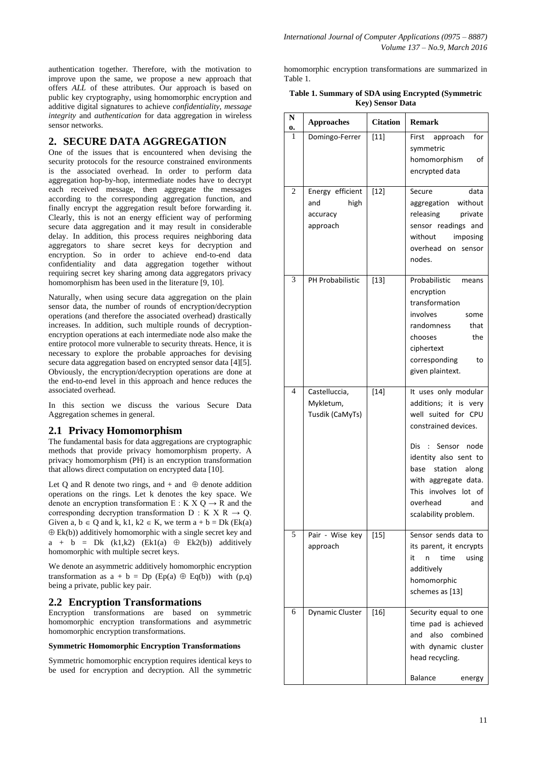authentication together. Therefore, with the motivation to improve upon the same, we propose a new approach that offers *ALL* of these attributes. Our approach is based on public key cryptography, using homomorphic encryption and additive digital signatures to achieve *confidentiality, message integrity* and *authentication* for data aggregation in wireless sensor networks.

## **2. SECURE DATA AGGREGATION**

One of the issues that is encountered when devising the security protocols for the resource constrained environments is the associated overhead. In order to perform data aggregation hop-by-hop, intermediate nodes have to decrypt each received message, then aggregate the messages according to the corresponding aggregation function, and finally encrypt the aggregation result before forwarding it. Clearly, this is not an energy efficient way of performing secure data aggregation and it may result in considerable delay. In addition, this process requires neighboring data aggregators to share secret keys for decryption and encryption. So in order to achieve end-to-end data confidentiality and data aggregation together without requiring secret key sharing among data aggregators privacy homomorphism has been used in the literature [9, 10].

Naturally, when using secure data aggregation on the plain sensor data, the number of rounds of encryption/decryption operations (and therefore the associated overhead) drastically increases. In addition, such multiple rounds of decryptionencryption operations at each intermediate node also make the entire protocol more vulnerable to security threats. Hence, it is necessary to explore the probable approaches for devising secure data aggregation based on encrypted sensor data [4][5]. Obviously, the encryption/decryption operations are done at the end-to-end level in this approach and hence reduces the associated overhead.

In this section we discuss the various Secure Data Aggregation schemes in general.

### **2.1 Privacy Homomorphism**

The fundamental basis for data aggregations are cryptographic methods that provide privacy homomorphism property. A privacy homomorphism (PH) is an encryption transformation that allows direct computation on encrypted data [10].

Let Q and R denote two rings, and  $+$  and  $\oplus$  denote addition operations on the rings. Let k denotes the key space. We denote an encryption transformation E : K X Q  $\rightarrow$  R and the corresponding decryption transformation  $D : K X R \rightarrow Q$ . Given a,  $b \in Q$  and k, k1, k2  $\in K$ , we term a + b = Dk (Ek(a)  $\oplus$  Ek(b)) additively homomorphic with a single secret key and  $a + b = Dk$  (k1,k2) (Ek1(a)  $\oplus$  Ek2(b)) additively homomorphic with multiple secret keys.

We denote an asymmetric additively homomorphic encryption transformation as  $a + b = Dp$  (Ep(a)  $\oplus$  Eq(b)) with (p,q) being a private, public key pair.

## **2.2 Encryption Transformations**

Encryption transformations are based on symmetric homomorphic encryption transformations and asymmetric homomorphic encryption transformations.

#### **Symmetric Homomorphic Encryption Transformations**

Symmetric homomorphic encryption requires identical keys to be used for encryption and decryption. All the symmetric

homomorphic encryption transformations are summarized in Table 1.

| Table 1. Summary of SDA using Encrypted (Symmetric |  |
|----------------------------------------------------|--|
| <b>Key)</b> Sensor Data                            |  |

| N<br>0. | <b>Approaches</b>                                       | <b>Citation</b> | <b>Remark</b>                                                                                                                                                                                                                                                                                 |
|---------|---------------------------------------------------------|-----------------|-----------------------------------------------------------------------------------------------------------------------------------------------------------------------------------------------------------------------------------------------------------------------------------------------|
| 1       | Domingo-Ferrer                                          | $[11]$          | for<br>First<br>approach<br>symmetric<br>homomorphism<br>of<br>encrypted data                                                                                                                                                                                                                 |
| 2       | Energy efficient<br>high<br>and<br>accuracy<br>approach | $[12]$          | Secure<br>data<br>aggregation<br>without<br>releasing<br>private<br>sensor readings and<br>without<br>imposing<br>overhead on sensor<br>nodes.                                                                                                                                                |
| 3       | PH Probabilistic                                        | $[13]$          | Probabilistic<br>means<br>encryption<br>transformation<br>involves<br>some<br>randomness<br>that<br>chooses<br>the<br>ciphertext<br>corresponding<br>to<br>given plaintext.                                                                                                                   |
| 4       | Castelluccia,<br>Mykletum,<br>Tusdik (CaMyTs)           | $[14]$          | It uses only modular<br>additions; it is very<br>well suited for CPU<br>constrained devices.<br>Dis<br>$\sim$ 100 $\sim$<br>Sensor<br>node<br>identity also sent to<br>base<br>station<br>along<br>with aggregate data.<br>This<br>involves lot of<br>overhead<br>and<br>scalability problem. |
| 5       | Pair - Wise key<br>approach                             | $[15]$          | Sensor sends data to<br>its parent, it encrypts<br>it<br>n<br>time<br>using<br>additively<br>homomorphic<br>schemes as [13]                                                                                                                                                                   |
| 6       | Dynamic Cluster                                         | $[16]$          | Security equal to one<br>time pad is achieved<br>and<br>also combined<br>with dynamic cluster<br>head recycling.<br>Balance<br>energy                                                                                                                                                         |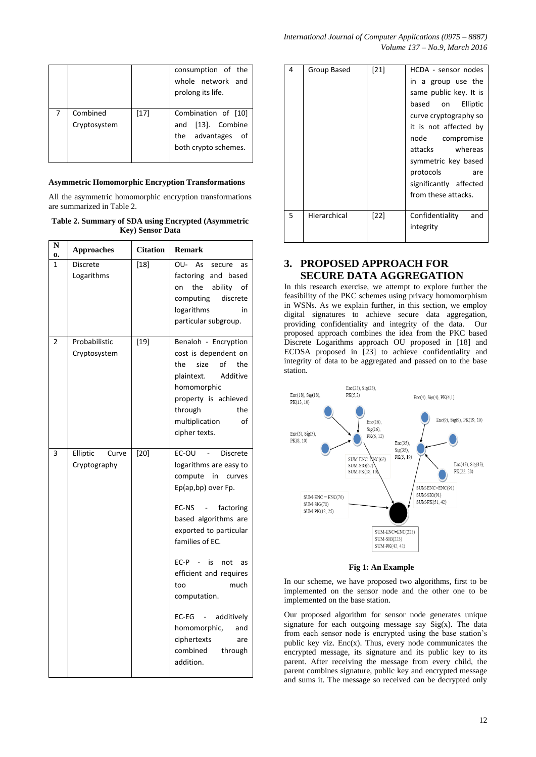| International Journal of Computer Applications (0975 $-8887$ ) |
|----------------------------------------------------------------|
| Volume 137 – No.9, March 2016                                  |

|                          |        | consumption of the<br>whole network and<br>prolong its life.                             |
|--------------------------|--------|------------------------------------------------------------------------------------------|
| Combined<br>Cryptosystem | $[17]$ | Combination of [10]<br>and [13]. Combine<br>the advantages<br>οf<br>both crypto schemes. |

## **Asymmetric Homomorphic Encryption Transformations**

All the asymmetric homomorphic encryption transformations are summarized in Table 2.

**Table 2. Summary of SDA using Encrypted (Asymmetric Key) Sensor Data**

| N<br>0.      | <b>Approaches</b>                 | <b>Citation</b> | <b>Remark</b>                                                                                                                                                                                                                                                                                                                                                                                                 |
|--------------|-----------------------------------|-----------------|---------------------------------------------------------------------------------------------------------------------------------------------------------------------------------------------------------------------------------------------------------------------------------------------------------------------------------------------------------------------------------------------------------------|
| $\mathbf{1}$ | <b>Discrete</b><br>Logarithms     | $[18]$          | OU-<br>As<br>secure<br>as<br>factoring<br>and based<br>the<br>ability<br>οf<br>on<br>computing<br>discrete<br>logarithms<br>in<br>particular subgroup.                                                                                                                                                                                                                                                        |
| 2            | Probabilistic<br>Cryptosystem     | $[19]$          | Benaloh - Encryption<br>cost is dependent on<br>size<br>of<br>the<br>the<br>Additive<br>plaintext.<br>homomorphic<br>property is achieved<br>the<br>through<br>οf<br>multiplication<br>cipher texts.                                                                                                                                                                                                          |
| 3            | Elliptic<br>Curve<br>Cryptography | $[20]$          | EC-OU<br>Discrete<br>logarithms are easy to<br>compute<br>in<br>curves<br>Ep(ap,bp) over Fp.<br>EC-NS<br>factoring<br>$\blacksquare$<br>based algorithms are<br>exported to particular<br>families of EC.<br>$EC-P -$<br>is<br>not<br>as<br>efficient and requires<br>much<br>too<br>computation.<br>$EC-EG$ -<br>additively<br>homomorphic,<br>and<br>ciphertexts<br>are<br>combined<br>through<br>addition. |

| 4 | Group Based  | $[21]$ | HCDA - sensor nodes    |
|---|--------------|--------|------------------------|
|   |              |        | in a group use the     |
|   |              |        | same public key. It is |
|   |              |        | based on<br>Elliptic   |
|   |              |        | curve cryptography so  |
|   |              |        | it is not affected by  |
|   |              |        | node<br>compromise     |
|   |              |        | attacks whereas        |
|   |              |        | symmetric key based    |
|   |              |        | protocols<br>are       |
|   |              |        | significantly affected |
|   |              |        | from these attacks.    |
|   |              |        |                        |
| 5 | Hierarchical | [22]   | Confidentiality<br>and |
|   |              |        | integrity              |
|   |              |        |                        |

# **3. PROPOSED APPROACH FOR SECURE DATA AGGREGATION**

In this research exercise, we attempt to explore further the feasibility of the PKC schemes using privacy homomorphism in WSNs. As we explain further, in this section, we employ digital signatures to achieve secure data aggregation, providing confidentiality and integrity of the data. Our proposed approach combines the idea from the PKC based Discrete Logarithms approach OU proposed in [18] and ECDSA proposed in [23] to achieve confidentiality and integrity of data to be aggregated and passed on to the base station.



#### **Fig 1: An Example**

In our scheme, we have proposed two algorithms, first to be implemented on the sensor node and the other one to be implemented on the base station.

Our proposed algorithm for sensor node generates unique signature for each outgoing message say Sig(x). The data from each sensor node is encrypted using the base station's public key viz.  $Enc(x)$ . Thus, every node communicates the encrypted message, its signature and its public key to its parent. After receiving the message from every child, the parent combines signature, public key and encrypted message and sums it. The message so received can be decrypted only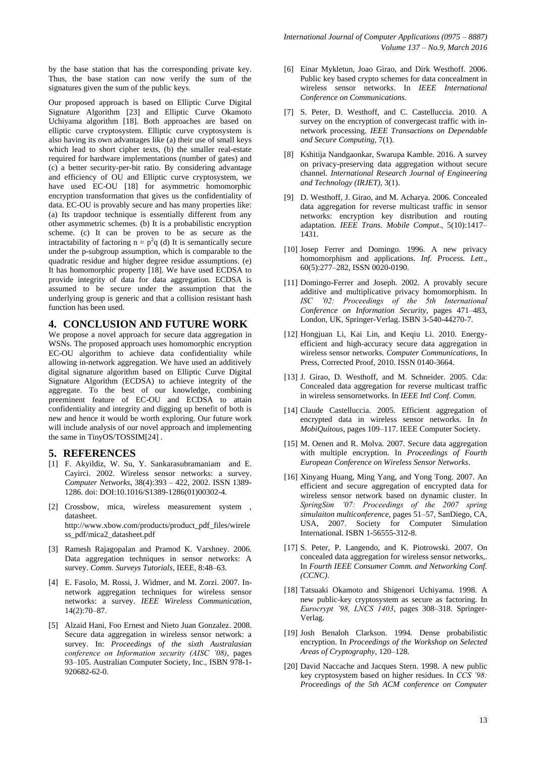by the base station that has the corresponding private key. Thus, the base station can now verify the sum of the signatures given the sum of the public keys.

Our proposed approach is based on Elliptic Curve Digital Signature Algorithm [23] and Elliptic Curve Okamoto Uchiyama algorithm [18]. Both approaches are based on elliptic curve cryptosystem. Elliptic curve cryptosystem is also having its own advantages like (a) their use of small keys which lead to short cipher texts, (b) the smaller real-estate required for hardware implementations (number of gates) and (c) a better security-per-bit ratio. By considering advantage and efficiency of OU and Elliptic curve cryptosystem, we have used EC-OU [18] for asymmetric homomorphic encryption transformation that gives us the confidentiality of data. EC-OU is provably secure and has many properties like: (a) Its trapdoor technique is essentially different from any other asymmetric schemes. (b) It is a probabilistic encryption scheme. (c) It can be proven to be as secure as the intractability of factoring  $n = p^2q$  (d) It is semantically secure under the p-subgroup assumption, which is comparable to the quadratic residue and higher degree residue assumptions. (e) It has homomorphic property [18]. We have used ECDSA to provide integrity of data for data aggregation. ECDSA is assumed to be secure under the assumption that the underlying group is generic and that a collision resistant hash function has been used.

## **4. CONCLUSION AND FUTURE WORK**

We propose a novel approach for secure data aggregation in WSNs. The proposed approach uses homomorphic encryption EC-OU algorithm to achieve data confidentiality while allowing in-network aggregation. We have used an additively digital signature algorithm based on Elliptic Curve Digital Signature Algorithm (ECDSA) to achieve integrity of the aggregate. To the best of our knowledge, combining preeminent feature of EC-OU and ECDSA to attain confidentiality and integrity and digging up benefit of both is new and hence it would be worth exploring. Our future work will include analysis of our novel approach and implementing the same in TinyOS/TOSSIM[24] .

## **5. REFERENCES**

- [1] F. Akyildiz, W. Su, Y. Sankarasubramaniam and E. Cayirci. 2002. Wireless sensor networks: a survey. *Computer Networks*, 38(4):393 – 422, 2002. ISSN 1389- 1286. doi: DOI:10.1016/S1389-1286(01)00302-4.
- [2] Crossbow, mica, wireless measurement system , datasheet. http://www.xbow.com/products/product\_pdf\_files/wirele ss\_pdf/mica2\_datasheet.pdf
- [3] Ramesh Rajagopalan and Pramod K. Varshney. 2006. Data aggregation techniques in sensor networks: A survey. *Comm. Surveys Tutorials*, IEEE, 8:48–63.
- [4] E. Fasolo, M. Rossi, J. Widmer, and M. Zorzi. 2007. Innetwork aggregation techniques for wireless sensor networks: a survey. *IEEE Wireless Communication*, 14(2):70–87.
- [5] Alzaid Hani, Foo Ernest and Nieto Juan Gonzalez. 2008. Secure data aggregation in wireless sensor network: a survey. In: *Proceedings of the sixth Australasian conference on Information security (AISC '08)*, pages 93–105. Australian Computer Society, Inc., ISBN 978-1- 920682-62-0.
- [6] Einar Mykletun, Joao Girao, and Dirk Westhoff. 2006. Public key based crypto schemes for data concealment in wireless sensor networks. In *IEEE International Conference on Communications.*
- [7] S. Peter, D. Westhoff, and C. Castelluccia. 2010. A survey on the encryption of convergecast traffic with innetwork processing. *IEEE Transactions on Dependable and Secure Computing*, 7(1).
- [8] Kshitija Nandgaonkar, Swarupa Kamble. 2016. A survey on privacy-preserving data aggregation without secure channel. *International Research Journal of Engineering and Technology (IRJET)*, 3(1).
- [9] D. Westhoff, J. Girao, and M. Acharya. 2006. Concealed data aggregation for reverse multicast traffic in sensor networks: encryption key distribution and routing adaptation. *IEEE Trans. Mobile Comput*., 5(10):1417– 1431.
- [10] Josep Ferrer and Domingo. 1996. A new privacy homomorphism and applications. *Inf. Process. Lett*., 60(5):277–282, ISSN 0020-0190.
- [11] Domingo-Ferrer and Joseph. 2002. A provably secure additive and multiplicative privacy homomorphism. In *ISC '02: Proceedings of the 5th International Conference on Information Security*, pages 471–483, London, UK, Springer-Verlag. ISBN 3-540-44270-7.
- [12] Hongjuan Li, Kai Lin, and Keqiu Li. 2010. Energyefficient and high-accuracy secure data aggregation in wireless sensor networks. *Computer Communications*, In Press, Corrected Proof, 2010. ISSN 0140-3664.
- [13] J. Girao, D. Westhoff, and M. Schneider. 2005. Cda: Concealed data aggregation for reverse multicast traffic in wireless sensornetworks. In *IEEE Intl Conf. Comm.*
- [14] Claude Castelluccia. 2005. Efficient aggregation of encrypted data in wireless sensor networks. In *In MobiQuitous*, pages 109–117. IEEE Computer Society.
- [15] M. Oenen and R. Molva. 2007. Secure data aggregation with multiple encryption. In *Proceedings of Fourth European Conference on Wireless Sensor Networks*.
- [16] Xinyang Huang, Ming Yang, and Yong Tong. 2007. An efficient and secure aggregation of encrypted data for wireless sensor network based on dynamic cluster. In *SpringSim '07: Proceedings of the 2007 spring simulaiton multiconference*, pages 51–57, SanDiego, CA, USA, 2007. Society for Computer Simulation International. ISBN 1-56555-312-8.
- [17] S. Peter, P. Langendo, and K. Piotrowski. 2007. On concealed data aggregation for wireless sensor networks,. In *Fourth IEEE Consumer Comm. and Networking Conf. (CCNC)*.
- [18] Tatsuaki Okamoto and Shigenori Uchiyama. 1998. A new public-key cryptosystem as secure as factoring. In *Eurocrypt '98, LNCS 1403*, pages 308–318. Springer-Verlag.
- [19] Josh Benaloh Clarkson. 1994. Dense probabilistic encryption. In *Proceedings of the Workshop on Selected Areas of Cryptography*, 120–128.
- [20] David Naccache and Jacques Stern. 1998. A new public key cryptosystem based on higher residues. In *CCS '98: Proceedings of the 5th ACM conference on Computer*